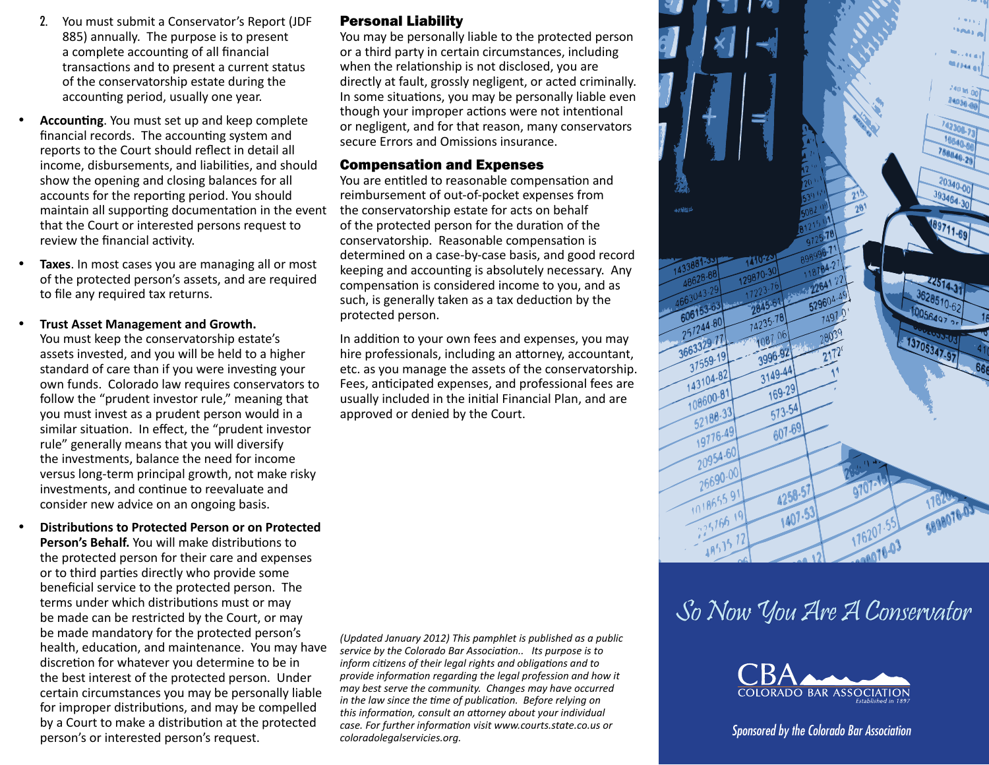- 2. You must submit a Conservator's Report (JDF 885) annually. The purpose is to present a complete accounting of all financial transactions and to present a current status of the conservatorship estate during the accounting period, usually one year.
- **Accounting**. You must set up and keep complete financial records. The accounting system and reports to the Court should reflect in detail all income, disbursements, and liabilities, and should show the opening and closing balances for all accounts for the reporting period. You should maintain all supporting documentation in the event that the Court or interested persons request to review the financial activity.
- Taxes. In most cases you are managing all or most of the protected person's assets, and are required to file any required tax returns.

**Trust Asset Management and Growth.** 

You must keep the conservatorship estate's assets invested, and you will be held to a higher standard of care than if you were investing your own funds. Colorado law requires conservators to follow the "prudent investor rule," meaning that you must invest as a prudent person would in a similar situation. In effect, the "prudent investor rule" generally means that you will diversify the investments, balance the need for income versus long-term principal growth, not make risky investments, and continue to reevaluate and consider new advice on an ongoing basis.

**Distributions to Protected Person or on Protected Person's Behalf.** You will make distributions to the protected person for their care and expenses or to third parties directly who provide some beneficial service to the protected person. The terms under which distributions must or may be made can be restricted by the Court, or may be made mandatory for the protected person's health, education, and maintenance. You may have discretion for whatever you determine to be in the best interest of the protected person. Under certain circumstances you may be personally liable for improper distributions, and may be compelled by a Court to make a distribution at the protected person's or interested person's request.

## Personal Liability

You may be personally liable to the protected person or a third party in certain circumstances, including when the relationship is not disclosed, you are directly at fault, grossly negligent, or acted criminally. In some situations, you may be personally liable even though your improper actions were not intentional or negligent, and for that reason, many conservators secure Errors and Omissions insurance.

#### Compensation and Expenses

You are entitled to reasonable compensation and reimbursement of out-of-pocket expenses from the conservatorship estate for acts on behalf of the protected person for the duration of the conservatorship. Reasonable compensation is determined on a case-by-case basis, and good record keeping and accounting is absolutely necessary. Any compensation is considered income to you, and as such, is generally taken as a tax deduction by the protected person.

In addition to your own fees and expenses, you may hire professionals, including an attorney, accountant, etc. as you manage the assets of the conservatorship. Fees, anticipated expenses, and professional fees are usually included in the initial Financial Plan, and are approved or denied by the Court.

*(Updated January 2012) This pamphlet is published as a public service by the Colorado Bar Association.. Its purpose is to inform citizens of their legal rights and obligations and to provide information regarding the legal profession and how it may best serve the community. Changes may have occurred in the law since the time of publication. Before relying on this information, consult an attorney about your individual case. For further information visit www.courts.state.co.us or coloradolegalservicies.org.*



# So Now You Are A Conservator



#### *Sponsored by the Colorado Bar Association*